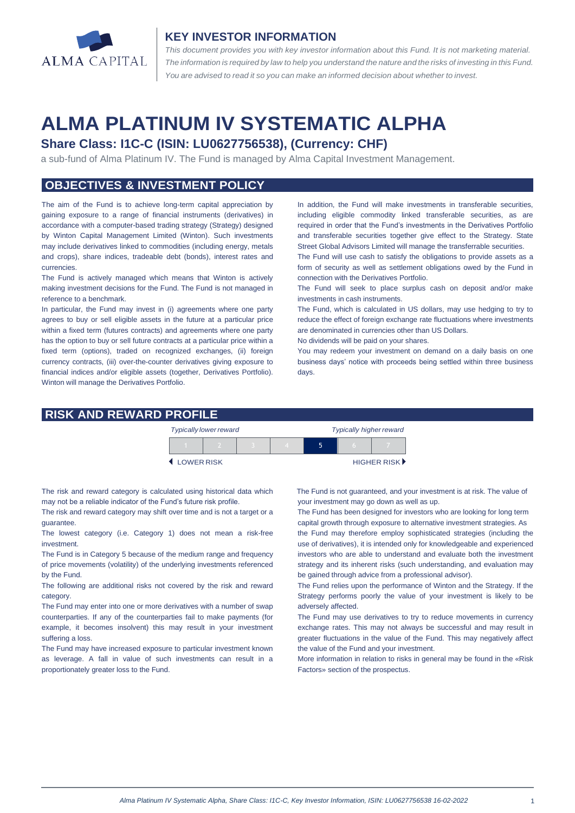

#### **KEY INVESTOR INFORMATION**

*This document provides you with key investor information about this Fund. It is not marketing material.*  The information is required by law to help you understand the nature and the risks of investing in this Fund. *You are advised to read it so you can make an informed decision about whether to invest.*

# **ALMA PLATINUM IV SYSTEMATIC ALPHA**

## **Share Class: I1C-C (ISIN: LU0627756538), (Currency: CHF)**

a sub-fund of Alma Platinum IV. The Fund is managed by Alma Capital Investment Management.

## **OBJECTIVES & INVESTMENT POLICY**

The aim of the Fund is to achieve long-term capital appreciation by gaining exposure to a range of financial instruments (derivatives) in accordance with a computer-based trading strategy (Strategy) designed by Winton Capital Management Limited (Winton). Such investments may include derivatives linked to commodities (including energy, metals and crops), share indices, tradeable debt (bonds), interest rates and currencies.

The Fund is actively managed which means that Winton is actively making investment decisions for the Fund. The Fund is not managed in reference to a benchmark.

In particular, the Fund may invest in (i) agreements where one party agrees to buy or sell eligible assets in the future at a particular price within a fixed term (futures contracts) and agreements where one party has the option to buy or sell future contracts at a particular price within a fixed term (options), traded on recognized exchanges, (ii) foreign currency contracts, (iii) over-the-counter derivatives giving exposure to financial indices and/or eligible assets (together, Derivatives Portfolio). Winton will manage the Derivatives Portfolio.

In addition, the Fund will make investments in transferable securities, including eligible commodity linked transferable securities, as are required in order that the Fund's investments in the Derivatives Portfolio and transferable securities together give effect to the Strategy. State Street Global Advisors Limited will manage the transferrable securities.

The Fund will use cash to satisfy the obligations to provide assets as a form of security as well as settlement obligations owed by the Fund in connection with the Derivatives Portfolio.

The Fund will seek to place surplus cash on deposit and/or make investments in cash instruments.

The Fund, which is calculated in US dollars, may use hedging to try to reduce the effect of foreign exchange rate fluctuations where investments are denominated in currencies other than US Dollars.

No dividends will be paid on your shares.

You may redeem your investment on demand on a daily basis on one business days' notice with proceeds being settled within three business days.

### **RISK AND REWARD PROFILE**

|            | <b>Typically lower reward</b> |  | <b>Typically higher reward</b> |  |  |             |
|------------|-------------------------------|--|--------------------------------|--|--|-------------|
|            |                               |  |                                |  |  |             |
| LOWER RISK |                               |  |                                |  |  | HIGHER RISK |

The risk and reward category is calculated using historical data which may not be a reliable indicator of the Fund's future risk profile.

The risk and reward category may shift over time and is not a target or a guarantee.

The lowest category (i.e. Category 1) does not mean a risk-free investment.

The Fund is in Category 5 because of the medium range and frequency of price movements (volatility) of the underlying investments referenced by the Fund.

The following are additional risks not covered by the risk and reward category.

The Fund may enter into one or more derivatives with a number of swap counterparties. If any of the counterparties fail to make payments (for example, it becomes insolvent) this may result in your investment suffering a loss.

The Fund may have increased exposure to particular investment known as leverage. A fall in value of such investments can result in a proportionately greater loss to the Fund.

 The Fund is not guaranteed, and your investment is at risk. The value of your investment may go down as well as up.

The Fund has been designed for investors who are looking for long term capital growth through exposure to alternative investment strategies. As the Fund may therefore employ sophisticated strategies (including the use of derivatives), it is intended only for knowledgeable and experienced investors who are able to understand and evaluate both the investment strategy and its inherent risks (such understanding, and evaluation may be gained through advice from a professional advisor).

The Fund relies upon the performance of Winton and the Strategy. If the Strategy performs poorly the value of your investment is likely to be adversely affected.

The Fund may use derivatives to try to reduce movements in currency exchange rates. This may not always be successful and may result in greater fluctuations in the value of the Fund. This may negatively affect the value of the Fund and your investment.

More information in relation to risks in general may be found in the «Risk Factors» section of the prospectus.